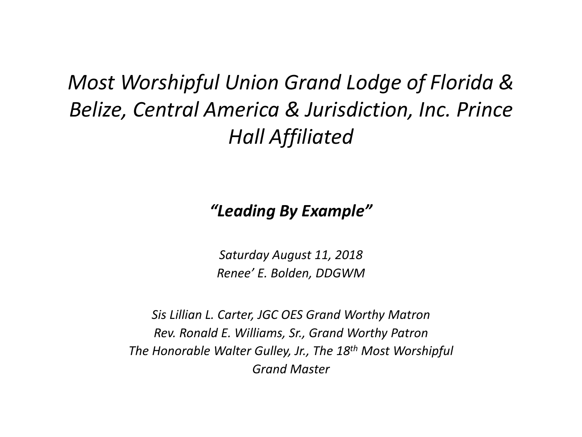*Most Worshipful Union Grand Lodge of Florida & Belize, Central America & Jurisdiction, Inc. Prince Hall Affiliated*

*"Leading By Example"*

*Saturday August 11, 2018 Renee' E. Bolden, DDGWM*

*Sis Lillian L. Carter, JGC OES Grand Worthy Matron Rev. Ronald E. Williams, Sr., Grand Worthy Patron The Honorable Walter Gulley, Jr., The 18th Most Worshipful Grand Master*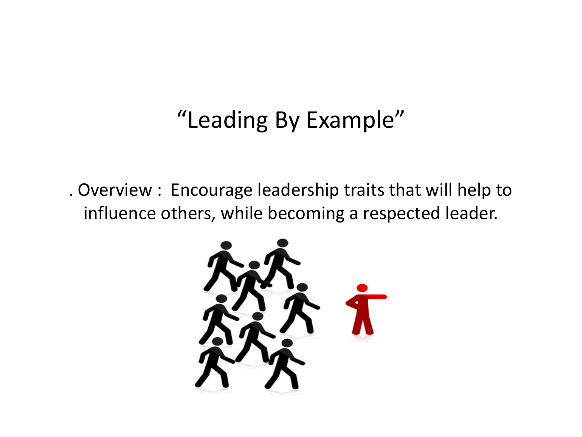#### "Leading By Example"

. Overview : Encourage leadership traits that will help to influence others, while becoming a respected leader.

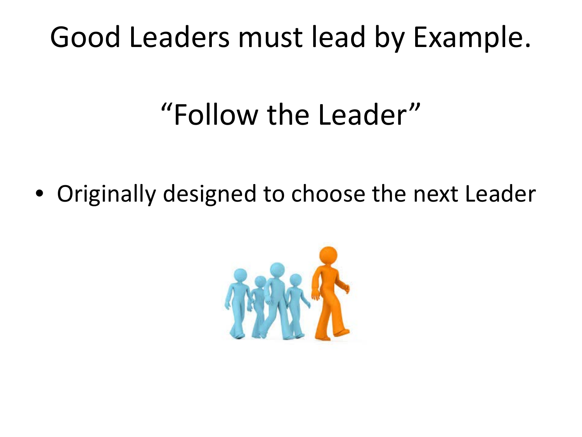#### Good Leaders must lead by Example.

### "Follow the Leader"

• Originally designed to choose the next Leader

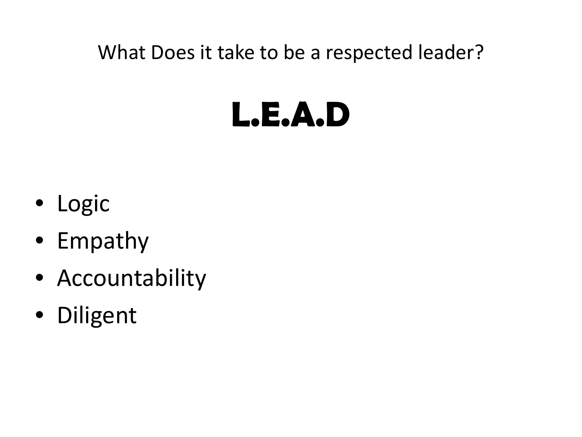What Does it take to be a respected leader?

# **L.E.A.D**

- Logic
- Empathy
- Accountability
- Diligent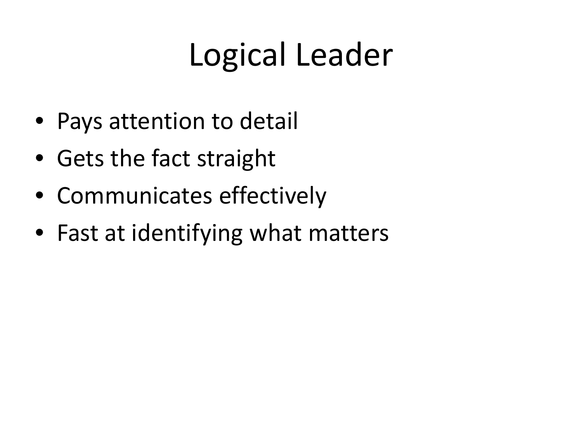## Logical Leader

- Pays attention to detail
- Gets the fact straight
- Communicates effectively
- Fast at identifying what matters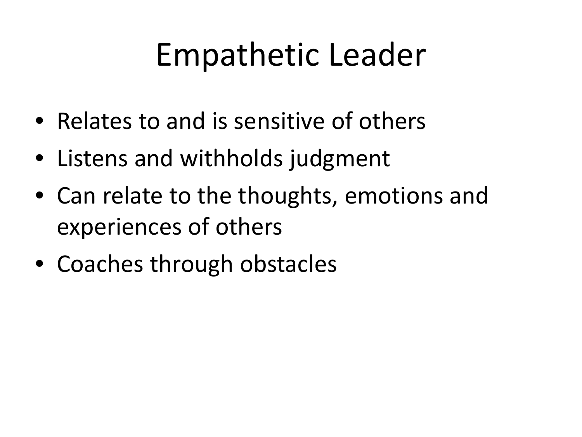### Empathetic Leader

- Relates to and is sensitive of others
- Listens and withholds judgment
- Can relate to the thoughts, emotions and experiences of others
- Coaches through obstacles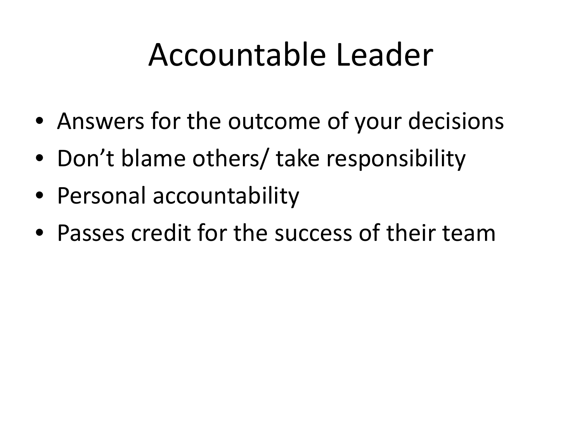### Accountable Leader

- Answers for the outcome of your decisions
- Don't blame others/ take responsibility
- Personal accountability
- Passes credit for the success of their team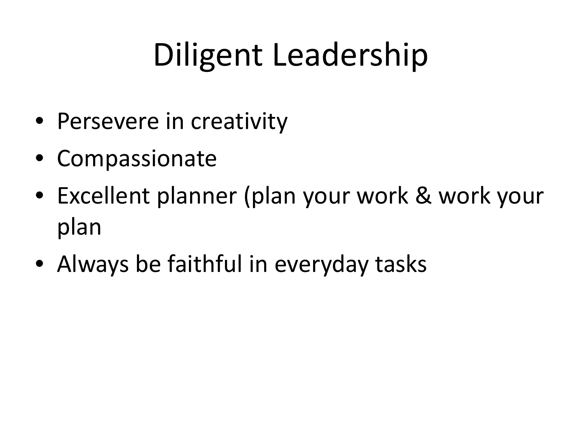# Diligent Leadership

- Persevere in creativity
- Compassionate
- Excellent planner (plan your work & work your plan
- Always be faithful in everyday tasks